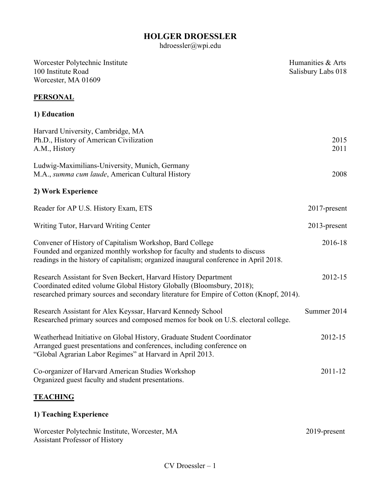# **HOLGER DROESSLER**

hdroessler@wpi.edu

| Worcester Polytechnic Institute<br>100 Institute Road                                                                                                                                                                               | Humanities & Arts<br>Salisbury Labs 018 |
|-------------------------------------------------------------------------------------------------------------------------------------------------------------------------------------------------------------------------------------|-----------------------------------------|
| Worcester, MA 01609                                                                                                                                                                                                                 |                                         |
| <b>PERSONAL</b>                                                                                                                                                                                                                     |                                         |
| 1) Education                                                                                                                                                                                                                        |                                         |
| Harvard University, Cambridge, MA<br>Ph.D., History of American Civilization<br>A.M., History                                                                                                                                       | 2015<br>2011                            |
| Ludwig-Maximilians-University, Munich, Germany<br>M.A., summa cum laude, American Cultural History                                                                                                                                  | 2008                                    |
| 2) Work Experience                                                                                                                                                                                                                  |                                         |
| Reader for AP U.S. History Exam, ETS                                                                                                                                                                                                | 2017-present                            |
| Writing Tutor, Harvard Writing Center                                                                                                                                                                                               | $2013$ -present                         |
| Convener of History of Capitalism Workshop, Bard College<br>Founded and organized monthly workshop for faculty and students to discuss<br>readings in the history of capitalism; organized inaugural conference in April 2018.      | 2016-18                                 |
| Research Assistant for Sven Beckert, Harvard History Department<br>Coordinated edited volume Global History Globally (Bloomsbury, 2018);<br>researched primary sources and secondary literature for Empire of Cotton (Knopf, 2014). | 2012-15                                 |
| Research Assistant for Alex Keyssar, Harvard Kennedy School<br>Researched primary sources and composed memos for book on U.S. electoral college.                                                                                    | Summer 2014                             |
| Weatherhead Initiative on Global History, Graduate Student Coordinator<br>Arranged guest presentations and conferences, including conference on<br>"Global Agrarian Labor Regimes" at Harvard in April 2013.                        | 2012-15                                 |
| Co-organizer of Harvard American Studies Workshop<br>Organized guest faculty and student presentations.                                                                                                                             | 2011-12                                 |
| <b>TEACHING</b>                                                                                                                                                                                                                     |                                         |
| 1) Teaching Experience                                                                                                                                                                                                              |                                         |

Worcester Polytechnic Institute, Worcester, MA 2019-present Assistant Professor of History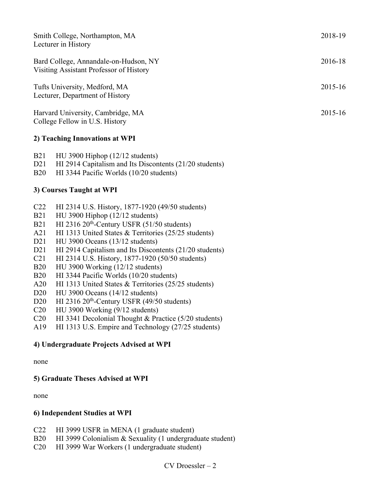| Smith College, Northampton, MA<br>Lecturer in History                            | 2018-19 |
|----------------------------------------------------------------------------------|---------|
| Bard College, Annandale-on-Hudson, NY<br>Visiting Assistant Professor of History | 2016-18 |
| Tufts University, Medford, MA<br>Lecturer, Department of History                 | 2015-16 |
| Harvard University, Cambridge, MA<br>College Fellow in U.S. History              | 2015-16 |

#### **2) Teaching Innovations at WPI**

| B21 | $HU$ 3900 Hiphop (12/12 students) |  |  |
|-----|-----------------------------------|--|--|
|     |                                   |  |  |

- D21 HI 2914 Capitalism and Its Discontents (21/20 students)
- B20 HI 3344 Pacific Worlds (10/20 students)

## **3) Courses Taught at WPI**

- C22 HI 2314 U.S. History, 1877-1920 (49/50 students)
- B21 HU 3900 Hiphop (12/12 students)
- B21 HI 2316 20<sup>th</sup>-Century USFR  $(51/50$  students)
- A21 HI 1313 United States & Territories (25/25 students)
- D21 HU 3900 Oceans (13/12 students)
- D21 HI 2914 Capitalism and Its Discontents (21/20 students)
- C21 HI 2314 U.S. History, 1877-1920 (50/50 students)
- B20 HU 3900 Working (12/12 students)
- B20 HI 3344 Pacific Worlds (10/20 students)
- A20 HI 1313 United States & Territories (25/25 students)
- D20 HU 3900 Oceans (14/12 students)
- D20 HI 2316 20<sup>th</sup>-Century USFR (49/50 students)
- C20 HU 3900 Working (9/12 students)
- C20 HI 3341 Decolonial Thought & Practice (5/20 students)
- A19 HI 1313 U.S. Empire and Technology (27/25 students)

#### **4) Undergraduate Projects Advised at WPI**

none

#### **5) Graduate Theses Advised at WPI**

none

#### **6) Independent Studies at WPI**

- C22 HI 3999 USFR in MENA (1 graduate student)
- B20 HI 3999 Colonialism & Sexuality (1 undergraduate student)
- C20 HI 3999 War Workers (1 undergraduate student)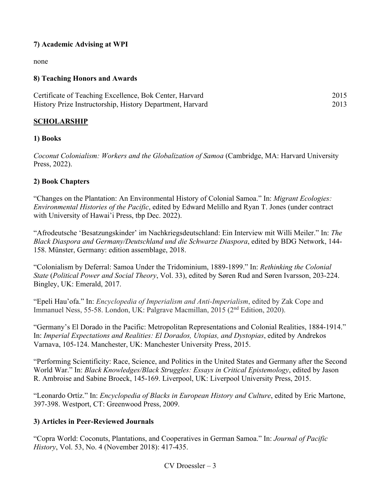## **7) Academic Advising at WPI**

none

## **8) Teaching Honors and Awards**

| Certificate of Teaching Excellence, Bok Center, Harvard   | 2015 |
|-----------------------------------------------------------|------|
| History Prize Instructorship, History Department, Harvard | 2013 |

## **SCHOLARSHIP**

#### **1) Books**

*Coconut Colonialism: Workers and the Globalization of Samoa* (Cambridge, MA: Harvard University Press, 2022).

## **2) Book Chapters**

"Changes on the Plantation: An Environmental History of Colonial Samoa." In: *Migrant Ecologies: Environmental Histories of the Pacific*, edited by Edward Melillo and Ryan T. Jones (under contract with University of Hawai'i Press, tbp Dec. 2022).

"Afrodeutsche 'Besatzungskinder' im Nachkriegsdeutschland: Ein Interview mit Willi Meiler." In: *The Black Diaspora and Germany/Deutschland und die Schwarze Diaspora*, edited by BDG Network, 144- 158. Münster, Germany: edition assemblage, 2018.

"Colonialism by Deferral: Samoa Under the Tridominium, 1889-1899." In: *Rethinking the Colonial State* (*Political Power and Social Theory*, Vol. 33), edited by Søren Rud and Søren Ivarsson, 203-224. Bingley, UK: Emerald, 2017.

"Epeli Hau'ofa." In: *Encyclopedia of Imperialism and Anti-Imperialism*, edited by Zak Cope and Immanuel Ness, 55-58. London, UK: Palgrave Macmillan, 2015 (2nd Edition, 2020).

"Germany's El Dorado in the Pacific: Metropolitan Representations and Colonial Realities, 1884-1914." In: *Imperial Expectations and Realities: El Dorados, Utopias, and Dystopias*, edited by Andrekos Varnava, 105-124. Manchester, UK: Manchester University Press, 2015.

"Performing Scientificity: Race, Science, and Politics in the United States and Germany after the Second World War." In: *Black Knowledges/Black Struggles: Essays in Critical Epistemology*, edited by Jason R. Ambroise and Sabine Broeck, 145-169. Liverpool, UK: Liverpool University Press, 2015.

"Leonardo Ortíz." In: *Encyclopedia of Blacks in European History and Culture*, edited by Eric Martone, 397-398. Westport, CT: Greenwood Press, 2009.

#### **3) Articles in Peer-Reviewed Journals**

"Copra World: Coconuts, Plantations, and Cooperatives in German Samoa." In: *Journal of Pacific History*, Vol. 53, No. 4 (November 2018): 417-435.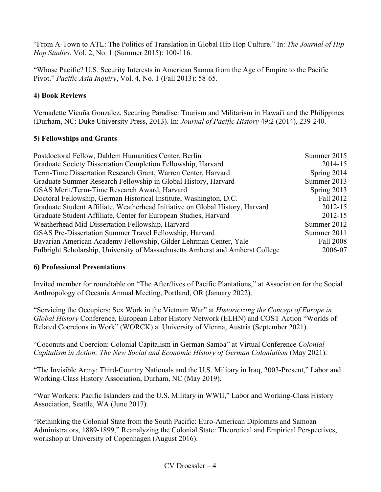"From A-Town to ATL: The Politics of Translation in Global Hip Hop Culture." In: *The Journal of Hip Hop Studies*, Vol. 2, No. 1 (Summer 2015): 100-116.

"Whose Pacific? U.S. Security Interests in American Samoa from the Age of Empire to the Pacific Pivot." *Pacific Asia Inquiry*, Vol. 4, No. 1 (Fall 2013): 58-65.

# **4) Book Reviews**

Vernadette Vicuña Gonzalez, Securing Paradise: Tourism and Militarism in Hawai'i and the Philippines (Durham, NC: Duke University Press, 2013). In: *Journal of Pacific History* 49:2 (2014), 239-240.

## **5) Fellowships and Grants**

| Postdoctoral Fellow, Dahlem Humanities Center, Berlin                          | Summer 2015 |
|--------------------------------------------------------------------------------|-------------|
| Graduate Society Dissertation Completion Fellowship, Harvard                   | 2014-15     |
| Term-Time Dissertation Research Grant, Warren Center, Harvard                  | Spring 2014 |
| Graduate Summer Research Fellowship in Global History, Harvard                 | Summer 2013 |
| GSAS Merit/Term-Time Research Award, Harvard                                   | Spring 2013 |
| Doctoral Fellowship, German Historical Institute, Washington, D.C.             | Fall 2012   |
| Graduate Student Affiliate, Weatherhead Initiative on Global History, Harvard  | 2012-15     |
| Graduate Student Affiliate, Center for European Studies, Harvard               | 2012-15     |
| Weatherhead Mid-Dissertation Fellowship, Harvard                               | Summer 2012 |
| GSAS Pre-Dissertation Summer Travel Fellowship, Harvard                        | Summer 2011 |
| Bavarian American Academy Fellowship, Gilder Lehrman Center, Yale              | Fall 2008   |
| Fulbright Scholarship, University of Massachusetts Amherst and Amherst College | 2006-07     |

#### **6) Professional Presentations**

Invited member for roundtable on "The After/lives of Pacific Plantations," at Association for the Social Anthropology of Oceania Annual Meeting, Portland, OR (January 2022).

"Servicing the Occupiers: Sex Work in the Vietnam War" at *Historicizing the Concept of Europe in Global History* Conference, European Labor History Network (ELHN) and COST Action "Worlds of Related Coercions in Work" (WORCK) at University of Vienna, Austria (September 2021).

"Coconuts and Coercion: Colonial Capitalism in German Samoa" at Virtual Conference *Colonial Capitalism in Action: The New Social and Economic History of German Colonialism* (May 2021).

"The Invisible Army: Third-Country Nationals and the U.S. Military in Iraq, 2003-Present," Labor and Working-Class History Association, Durham, NC (May 2019).

"War Workers: Pacific Islanders and the U.S. Military in WWII," Labor and Working-Class History Association, Seattle, WA (June 2017).

"Rethinking the Colonial State from the South Pacific: Euro-American Diplomats and Samoan Administrators, 1889-1899," Reanalyzing the Colonial State: Theoretical and Empirical Perspectives, workshop at University of Copenhagen (August 2016).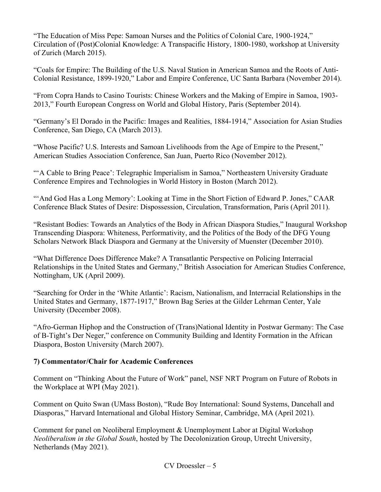"The Education of Miss Pepe: Samoan Nurses and the Politics of Colonial Care, 1900-1924," Circulation of (Post)Colonial Knowledge: A Transpacific History, 1800-1980, workshop at University of Zurich (March 2015).

"Coals for Empire: The Building of the U.S. Naval Station in American Samoa and the Roots of Anti-Colonial Resistance, 1899-1920," Labor and Empire Conference, UC Santa Barbara (November 2014).

"From Copra Hands to Casino Tourists: Chinese Workers and the Making of Empire in Samoa, 1903- 2013," Fourth European Congress on World and Global History, Paris (September 2014).

"Germany's El Dorado in the Pacific: Images and Realities, 1884-1914," Association for Asian Studies Conference, San Diego, CA (March 2013).

"Whose Pacific? U.S. Interests and Samoan Livelihoods from the Age of Empire to the Present," American Studies Association Conference, San Juan, Puerto Rico (November 2012).

""A Cable to Bring Peace': Telegraphic Imperialism in Samoa," Northeastern University Graduate Conference Empires and Technologies in World History in Boston (March 2012).

"'And God Has a Long Memory': Looking at Time in the Short Fiction of Edward P. Jones," CAAR Conference Black States of Desire: Dispossession, Circulation, Transformation, Paris (April 2011).

"Resistant Bodies: Towards an Analytics of the Body in African Diaspora Studies," Inaugural Workshop Transcending Diaspora: Whiteness, Performativity, and the Politics of the Body of the DFG Young Scholars Network Black Diaspora and Germany at the University of Muenster (December 2010).

"What Difference Does Difference Make? A Transatlantic Perspective on Policing Interracial Relationships in the United States and Germany," British Association for American Studies Conference, Nottingham, UK (April 2009).

"Searching for Order in the 'White Atlantic': Racism, Nationalism, and Interracial Relationships in the United States and Germany, 1877-1917," Brown Bag Series at the Gilder Lehrman Center, Yale University (December 2008).

"Afro-German Hiphop and the Construction of (Trans)National Identity in Postwar Germany: The Case of B-Tight's Der Neger," conference on Community Building and Identity Formation in the African Diaspora, Boston University (March 2007).

#### **7) Commentator/Chair for Academic Conferences**

Comment on "Thinking About the Future of Work" panel, NSF NRT Program on Future of Robots in the Workplace at WPI (May 2021).

Comment on Quito Swan (UMass Boston), "Rude Boy International: Sound Systems, Dancehall and Diasporas," Harvard International and Global History Seminar, Cambridge, MA (April 2021).

Comment for panel on Neoliberal Employment & Unemployment Labor at Digital Workshop *Neoliberalism in the Global South*, hosted by The Decolonization Group, Utrecht University, Netherlands (May 2021).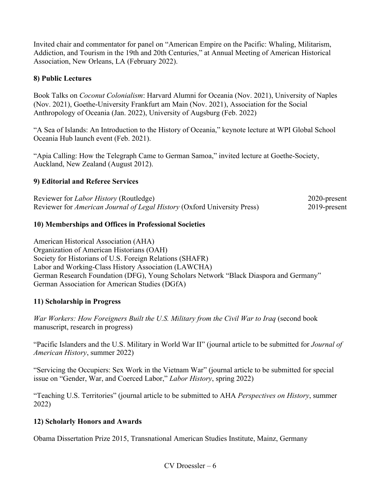Invited chair and commentator for panel on "American Empire on the Pacific: Whaling, Militarism, Addiction, and Tourism in the 19th and 20th Centuries," at Annual Meeting of American Historical Association, New Orleans, LA (February 2022).

## **8) Public Lectures**

Book Talks on *Coconut Colonialism*: Harvard Alumni for Oceania (Nov. 2021), University of Naples (Nov. 2021), Goethe-University Frankfurt am Main (Nov. 2021), Association for the Social Anthropology of Oceania (Jan. 2022), University of Augsburg (Feb. 2022)

"A Sea of Islands: An Introduction to the History of Oceania," keynote lecture at WPI Global School Oceania Hub launch event (Feb. 2021).

"Apia Calling: How the Telegraph Came to German Samoa," invited lecture at Goethe-Society, Auckland, New Zealand (August 2012).

#### **9) Editorial and Referee Services**

| Reviewer for <i>Labor History</i> (Routledge)                            | 2020-present |
|--------------------------------------------------------------------------|--------------|
| Reviewer for American Journal of Legal History (Oxford University Press) | 2019-present |

#### **10) Memberships and Offices in Professional Societies**

American Historical Association (AHA) Organization of American Historians (OAH) Society for Historians of U.S. Foreign Relations (SHAFR) Labor and Working-Class History Association (LAWCHA) German Research Foundation (DFG), Young Scholars Network "Black Diaspora and Germany" German Association for American Studies (DGfA)

#### **11) Scholarship in Progress**

*War Workers: How Foreigners Built the U.S. Military from the Civil War to Iraq* (second book manuscript, research in progress)

"Pacific Islanders and the U.S. Military in World War II" (journal article to be submitted for *Journal of American History*, summer 2022)

"Servicing the Occupiers: Sex Work in the Vietnam War" (journal article to be submitted for special issue on "Gender, War, and Coerced Labor," *Labor History*, spring 2022)

"Teaching U.S. Territories" (journal article to be submitted to AHA *Perspectives on History*, summer 2022)

#### **12) Scholarly Honors and Awards**

Obama Dissertation Prize 2015, Transnational American Studies Institute, Mainz, Germany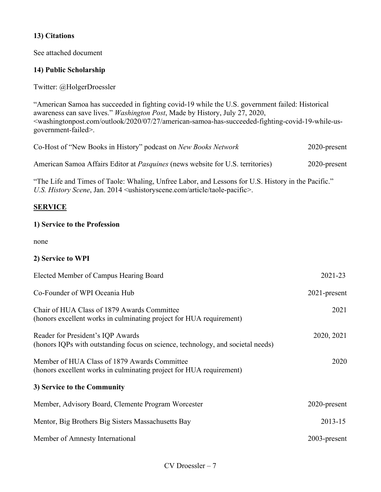## **13) Citations**

See attached document

## **14) Public Scholarship**

Twitter: @HolgerDroessler

"American Samoa has succeeded in fighting covid-19 while the U.S. government failed: Historical awareness can save lives." *Washington Post*, Made by History, July 27, 2020, <washingtonpost.com/outlook/2020/07/27/american-samoa-has-succeeded-fighting-covid-19-while-usgovernment-failed>.

| Co-Host of "New Books in History" podcast on New Books Network                        | 2020-present |
|---------------------------------------------------------------------------------------|--------------|
| American Samoa Affairs Editor at <i>Pasquines</i> (news website for U.S. territories) | 2020-present |

"The Life and Times of Taole: Whaling, Unfree Labor, and Lessons for U.S. History in the Pacific." *U.S. History Scene*, Jan. 2014 <ushistoryscene.com/article/taole-pacific>.

## **SERVICE**

#### **1) Service to the Profession**

none

#### **2) Service to WPI**

| Elected Member of Campus Hearing Board                                                                               | 2021-23         |
|----------------------------------------------------------------------------------------------------------------------|-----------------|
| Co-Founder of WPI Oceania Hub                                                                                        | $2021$ -present |
| Chair of HUA Class of 1879 Awards Committee<br>(honors excellent works in culminating project for HUA requirement)   | 2021            |
| Reader for President's IQP Awards<br>(honors IQPs with outstanding focus on science, technology, and societal needs) | 2020, 2021      |
| Member of HUA Class of 1879 Awards Committee<br>(honors excellent works in culminating project for HUA requirement)  | 2020            |
| 3) Service to the Community                                                                                          |                 |
| Member, Advisory Board, Clemente Program Worcester                                                                   | 2020-present    |
| Mentor, Big Brothers Big Sisters Massachusetts Bay                                                                   | 2013-15         |
| Member of Amnesty International                                                                                      | $2003$ -present |